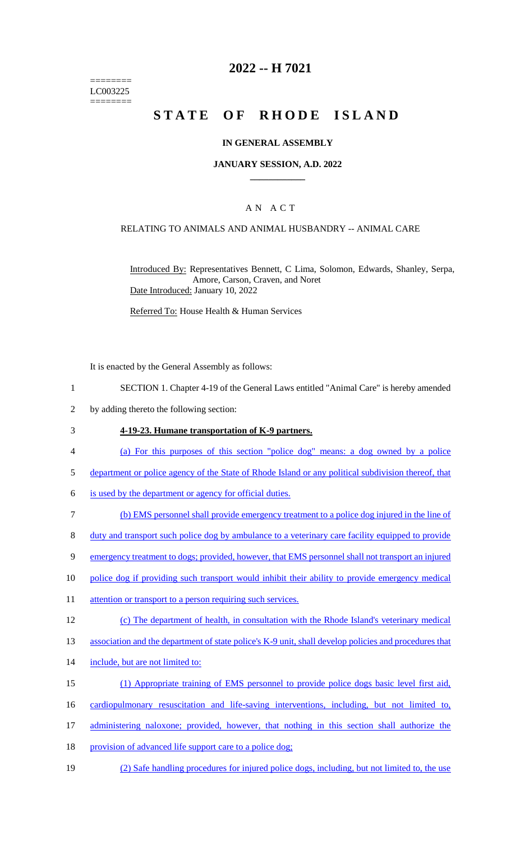======== LC003225 ========

### **2022 -- H 7021**

# **STATE OF RHODE ISLAND**

#### **IN GENERAL ASSEMBLY**

#### **JANUARY SESSION, A.D. 2022 \_\_\_\_\_\_\_\_\_\_\_\_**

#### A N A C T

### RELATING TO ANIMALS AND ANIMAL HUSBANDRY -- ANIMAL CARE

Introduced By: Representatives Bennett, C Lima, Solomon, Edwards, Shanley, Serpa, Amore, Carson, Craven, and Noret Date Introduced: January 10, 2022

Referred To: House Health & Human Services

It is enacted by the General Assembly as follows:

- 1 SECTION 1. Chapter 4-19 of the General Laws entitled "Animal Care" is hereby amended
- 2 by adding thereto the following section:
- 3 **4-19-23. Humane transportation of K-9 partners.**
- 4 (a) For this purposes of this section "police dog" means: a dog owned by a police
- 5 department or police agency of the State of Rhode Island or any political subdivision thereof, that
- 6 is used by the department or agency for official duties.
- 7 (b) EMS personnel shall provide emergency treatment to a police dog injured in the line of
- 8 duty and transport such police dog by ambulance to a veterinary care facility equipped to provide
- 9 emergency treatment to dogs; provided, however, that EMS personnel shall not transport an injured
- 10 police dog if providing such transport would inhibit their ability to provide emergency medical
- 11 attention or transport to a person requiring such services.
- 12 (c) The department of health, in consultation with the Rhode Island's veterinary medical
- 13 association and the department of state police's K-9 unit, shall develop policies and procedures that
- 14 include, but are not limited to:
- 15 (1) Appropriate training of EMS personnel to provide police dogs basic level first aid,
- 16 cardiopulmonary resuscitation and life-saving interventions, including, but not limited to,
- 17 administering naloxone; provided, however, that nothing in this section shall authorize the
- 18 provision of advanced life support care to a police dog;
- 19 (2) Safe handling procedures for injured police dogs, including, but not limited to, the use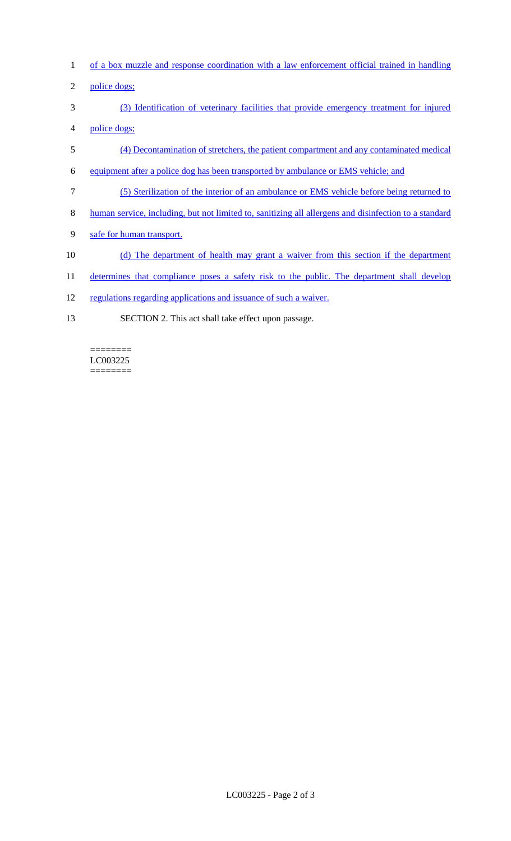- 1 of a box muzzle and response coordination with a law enforcement official trained in handling
- 2 police dogs;
- 3 (3) Identification of veterinary facilities that provide emergency treatment for injured 4 police dogs;
- 5 (4) Decontamination of stretchers, the patient compartment and any contaminated medical
- 6 equipment after a police dog has been transported by ambulance or EMS vehicle; and
- 7 (5) Sterilization of the interior of an ambulance or EMS vehicle before being returned to
- 8 human service, including, but not limited to, sanitizing all allergens and disinfection to a standard
- 9 safe for human transport.
- 10 (d) The department of health may grant a waiver from this section if the department
- 11 determines that compliance poses a safety risk to the public. The department shall develop
- 12 regulations regarding applications and issuance of such a waiver.
- 13 SECTION 2. This act shall take effect upon passage.

LC003225  $=$ 

 $=$